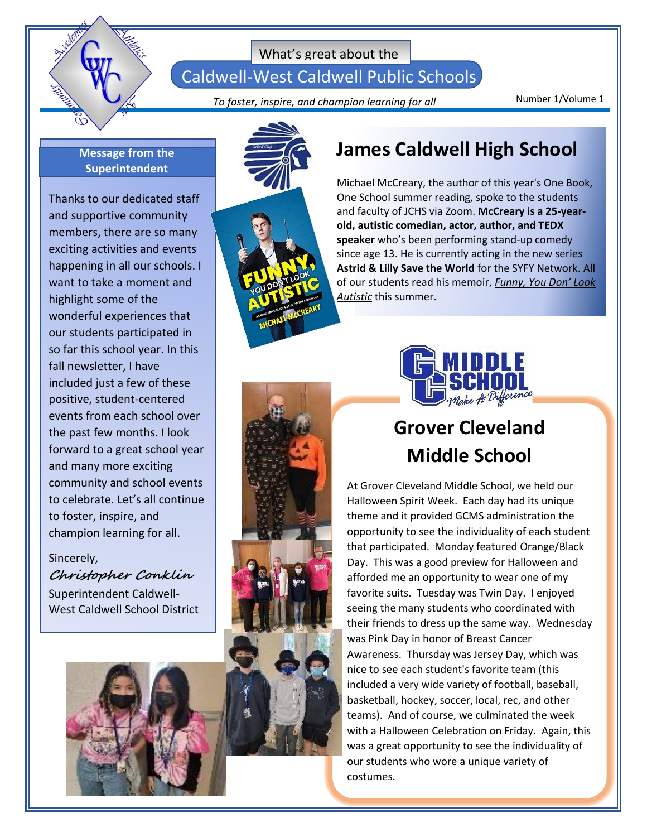

Caldwell-West Caldwell Public Schools

Number 1/Volume 1 *To foster, inspire, and champion learning for all*

#### **Message from the Superintendent**

Thanks to our dedicated staff and supportive community members, there are so many exciting activities and events happening in all our schools. I want to take a moment and highlight some of the wonderful experiences that our students participated in so far this school year. In this fall newsletter, I have included just a few of these positive, student-centered events from each school over the past few months. I look forward to a great school year and many more exciting community and school events to celebrate. Let's all continue to foster, inspire, and champion learning for all.

### Sincerely, **Christopher Conklin** Superintendent Caldwell-West Caldwell School District





### **James Caldwell High School**

Michael McCreary, the author of this year's One Book, One School summer reading, spoke to the students and faculty of JCHS via Zoom. **McCreary is a 25-yearold, autistic comedian, actor, author, and TEDX speaker** who's been performing stand-up comedy since age 13. He is currently acting in the new series **Astrid & Lilly Save the World** for the SYFY Network. All of our students read his memoir, *Funny, You Don' Look Autistic* this summer.



## **Grover Cleveland Middle School**

At Grover Cleveland Middle School, we held our Halloween Spirit Week. Each day had its unique theme and it provided GCMS administration the opportunity to see the individuality of each student that participated. Monday featured Orange/Black Day. This was a good preview for Halloween and afforded me an opportunity to wear one of my favorite suits. Tuesday was Twin Day. I enjoyed seeing the many students who coordinated with their friends to dress up the same way. Wednesday was Pink Day in honor of Breast Cancer Awareness. Thursday was Jersey Day, which was nice to see each student's favorite team (this included a very wide variety of football, baseball, basketball, hockey, soccer, local, rec, and other teams). And of course, we culminated the week with a Halloween Celebration on Friday. Again, this was a great opportunity to see the individuality of our students who wore a unique variety of costumes.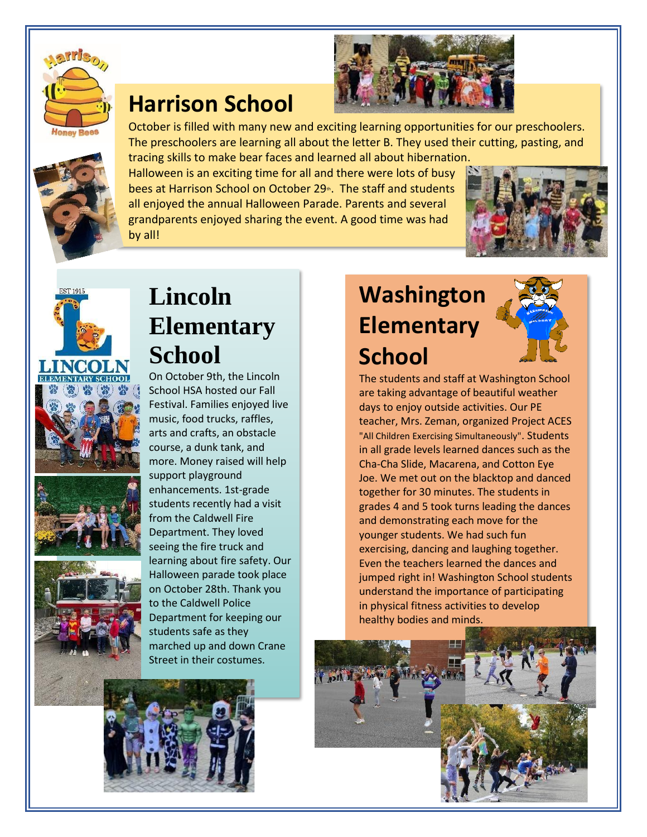

## **Harrison School**





October is filled with many new and exciting learning opportunities for our preschoolers. The preschoolers are learning all about the letter B. They used their cutting, pasting, and tracing skills to make bear faces and learned all about hibernation.

Halloween is an exciting time for all and there were lots of busy bees at Harrison School on October 29th. The staff and students all enjoyed the annual Halloween Parade. Parents and several grandparents enjoyed sharing the event. A good time was had by all!



# **Lincoln Elementary School**

On October 9th, the Lincoln School HSA hosted our Fall Festival. Families enjoyed live music, food trucks, raffles, arts and crafts, an obstacle course, a dunk tank, and more. Money raised will help support playground enhancements. 1st-grade students recently had a visit from the Caldwell Fire Department. They loved seeing the fire truck and learning about fire safety. Our Halloween parade took place on October 28th. Thank you to the Caldwell Police Department for keeping our students safe as they marched up and down Crane Street in their costumes.



# **Washington Elementary School**



The students and staff at Washington School are taking advantage of beautiful weather days to enjoy outside activities. Our PE teacher, Mrs. Zeman, organized Project ACES "All Children Exercising Simultaneously". Students in all grade levels learned dances such as the Cha-Cha Slide, Macarena, and Cotton Eye Joe. We met out on the blacktop and danced together for 30 minutes. The students in grades 4 and 5 took turns leading the dances and demonstrating each move for the younger students. We had such fun exercising, dancing and laughing together. Even the teachers learned the dances and jumped right in! Washington School students understand the importance of participating in physical fitness activities to develop healthy bodies and minds.